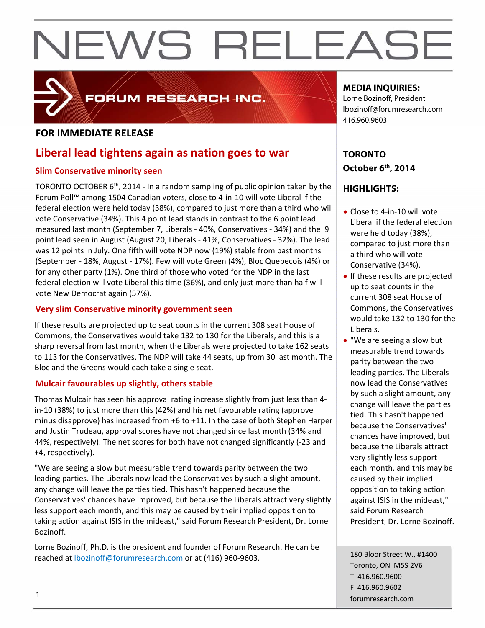#### **FOR IMMEDIATE RELEASE**

### **Liberal lead tightens again as nation goes to war**

FORUM RESEARCH INC.

#### **Slim Conservative minority seen**

TORONTO OCTOBER  $6<sup>th</sup>$ , 2014 - In a random sampling of public opinion taken by the Forum Poll™ among 1504 Canadian voters, close to 4‐in‐10 will vote Liberal if the federal election were held today (38%), compared to just more than a third who will vote Conservative (34%). This 4 point lead stands in contrast to the 6 point lead measured last month (September 7, Liberals ‐ 40%, Conservatives ‐ 34%) and the 9 point lead seen in August (August 20, Liberals ‐ 41%, Conservatives ‐ 32%). The lead was 12 points in July. One fifth will vote NDP now (19%) stable from past months (September ‐ 18%, August ‐ 17%). Few will vote Green (4%), Bloc Quebecois (4%) or for any other party (1%). One third of those who voted for the NDP in the last federal election will vote Liberal this time (36%), and only just more than half will vote New Democrat again (57%).

#### **Very slim Conservative minority government seen**

If these results are projected up to seat counts in the current 308 seat House of Commons, the Conservatives would take 132 to 130 for the Liberals, and this is a sharp reversal from last month, when the Liberals were projected to take 162 seats to 113 for the Conservatives. The NDP will take 44 seats, up from 30 last month. The Bloc and the Greens would each take a single seat.

#### **Mulcair favourables up slightly, others stable**

Thomas Mulcair has seen his approval rating increase slightly from just less than 4‐ in‐10 (38%) to just more than this (42%) and his net favourable rating (approve minus disapprove) has increased from +6 to +11. In the case of both Stephen Harper and Justin Trudeau, approval scores have not changed since last month (34% and 44%, respectively). The net scores for both have not changed significantly (‐23 and +4, respectively).

"We are seeing a slow but measurable trend towards parity between the two leading parties. The Liberals now lead the Conservatives by such a slight amount, any change will leave the parties tied. This hasn't happened because the Conservatives' chances have improved, but because the Liberals attract very slightly less support each month, and this may be caused by their implied opposition to taking action against ISIS in the mideast," said Forum Research President, Dr. Lorne Bozinoff.

Lorne Bozinoff, Ph.D. is the president and founder of Forum Research. He can be reached at lbozinoff@forumresearch.com or at (416) 960‐9603.

#### **MEDIA INQUIRIES:**

Lorne Bozinoff, President lbozinoff@forumresearch.com 416.960.9603

### **TORONTO October 6th, 2014**

#### **HIGHLIGHTS:**

- Close to 4-in-10 will vote Liberal if the federal election were held today (38%), compared to just more than a third who will vote Conservative (34%).
- If these results are projected up to seat counts in the current 308 seat House of Commons, the Conservatives would take 132 to 130 for the Liberals.
- "We are seeing a slow but measurable trend towards parity between the two leading parties. The Liberals now lead the Conservatives by such a slight amount, any change will leave the parties tied. This hasn't happened because the Conservatives' chances have improved, but because the Liberals attract very slightly less support each month, and this may be caused by their implied opposition to taking action against ISIS in the mideast," said Forum Research President, Dr. Lorne Bozinoff.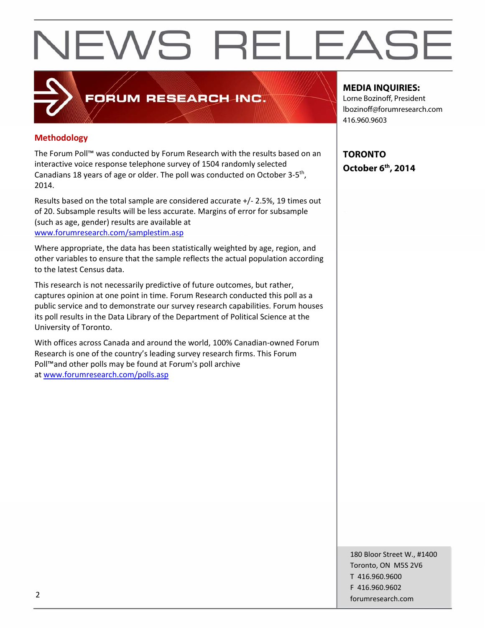#### **Methodology**

The Forum Poll™ was conducted by Forum Research with the results based on an interactive voice response telephone survey of 1504 randomly selected Canadians 18 years of age or older. The poll was conducted on October 3‐5th, 2014.

**FORUM RESEARCH INC.** 

Results based on the total sample are considered accurate +/‐ 2.5%, 19 times out of 20. Subsample results will be less accurate. Margins of error for subsample (such as age, gender) results are available at www.forumresearch.com/samplestim.asp

Where appropriate, the data has been statistically weighted by age, region, and other variables to ensure that the sample reflects the actual population according to the latest Census data.

This research is not necessarily predictive of future outcomes, but rather, captures opinion at one point in time. Forum Research conducted this poll as a public service and to demonstrate our survey research capabilities. Forum houses its poll results in the Data Library of the Department of Political Science at the University of Toronto.

With offices across Canada and around the world, 100% Canadian‐owned Forum Research is one of the country's leading survey research firms. This Forum Poll™and other polls may be found at Forum's poll archive at www.forumresearch.com/polls.asp

**MEDIA INQUIRIES:** 

Lorne Bozinoff, President lbozinoff@forumresearch.com 416.960.9603

**TORONTO October 6th, 2014** 

180 Bloor Street W., #1400 Toronto, ON M5S 2V6 T 416.960.9600 F 416.960.9602 example to the contract of the contract of the contract of the contract of the contract of the contract of the contract of the contract of the contract of the contract of the contract of the contract of the contract of the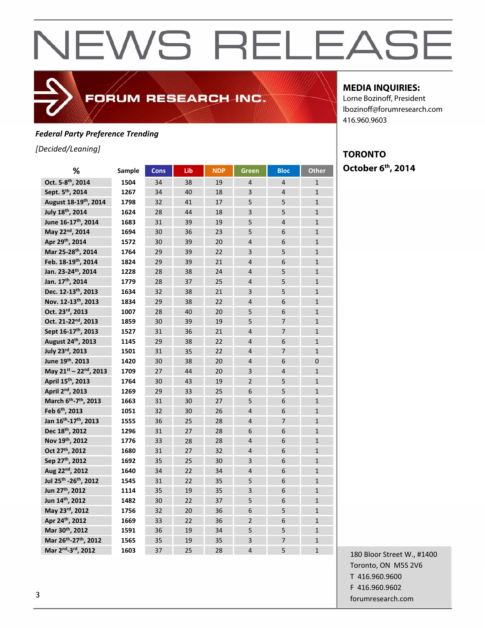#### *Federal Party Preference Trending*

*[Decided/Leaning]*

| %                                             | Sample | <b>Cons</b> | Lib | <b>NDP</b> | <b>Green</b>   | <b>Bloc</b>    | <b>Other</b>   |
|-----------------------------------------------|--------|-------------|-----|------------|----------------|----------------|----------------|
| Oct. 5-8 <sup>th</sup> , 2014                 | 1504   | 34          | 38  | 19         | $\overline{4}$ | $\overline{4}$ | $\mathbf{1}$   |
| Sept. 5 <sup>th</sup> , 2014                  | 1267   | 34          | 40  | 18         | $\overline{3}$ | $\overline{4}$ | $\overline{1}$ |
| August 18-19th, 2014                          | 1798   | 32          | 41  | 17         | 5              | 5              | $\mathbf{1}$   |
| July 18th, 2014                               | 1624   | 28          | 44  | 18         | $\overline{3}$ | 5              | $\overline{1}$ |
| June 16-17 <sup>th</sup> , 2014               | 1683   | 31          | 39  | 19         | 5              | $\overline{4}$ | $\overline{1}$ |
| May 22nd, 2014                                | 1694   | 30          | 36  | 23         | 5              | 6              | $\overline{1}$ |
| Apr 29th, 2014                                | 1572   | 30          | 39  | 20         | $\overline{4}$ | 6              | $\mathbf{1}$   |
| Mar 25-28th, 2014                             | 1764   | 29          | 39  | 22         | 3              | 5              | $\mathbf{1}$   |
| Feb. 18-19th, 2014                            | 1824   | 29          | 39  | 21         | $\overline{4}$ | 6              | $\mathbf{1}$   |
| Jan. 23-24th, 2014                            | 1228   | 28          | 38  | 24         | $\overline{4}$ | 5              | $\overline{1}$ |
| Jan. 17th, 2014                               | 1779   | 28          | 37  | 25         | $\overline{4}$ | 5              | $\overline{1}$ |
| Dec. 12-13th, 2013                            | 1634   | 32          | 38  | 21         | $\overline{3}$ | 5              | $\overline{1}$ |
| Nov. 12-13th, 2013                            | 1834   | 29          | 38  | 22         | $\overline{4}$ | 6              | $\overline{1}$ |
| Oct. 23rd, 2013                               | 1007   | 28          | 40  | 20         | 5              | 6              | $\overline{1}$ |
| Oct. 21-22 <sup>nd</sup> , 2013               | 1859   | 30          | 39  | 19         | 5              | $\overline{7}$ | $\overline{1}$ |
| Sept 16-17 <sup>th</sup> , 2013               | 1527   | 31          | 36  | 21         | $\overline{4}$ | $\overline{7}$ | $\mathbf{1}$   |
| August 24th, 2013                             | 1145   | 29          | 38  | 22         | $\overline{4}$ | 6              | $\mathbf{1}$   |
| July 23rd, 2013                               | 1501   | 31          | 35  | 22         | $\overline{4}$ | $\overline{7}$ | $\mathbf{1}$   |
| June 19th. 2013                               | 1420   | 30          | 38  | 20         | $\overline{4}$ | 6              | $\overline{0}$ |
| May 21st - 22nd, 2013                         | 1709   | 27          | 44  | 20         | 3              | $\overline{4}$ | $\mathbf{1}$   |
| April 15 <sup>th</sup> , 2013                 | 1764   | 30          | 43  | 19         | $\overline{2}$ | 5              | $\overline{1}$ |
| April 2 <sup>nd</sup> , 2013                  | 1269   | 29          | 33  | 25         | 6              | 5              | $\mathbf{1}$   |
| March 6 <sup>th</sup> -7 <sup>th</sup> , 2013 | 1663   | 31          | 30  | 27         | 5              | 6              | $\mathbf{1}$   |
| Feb 6 <sup>th</sup> , 2013                    | 1051   | 32          | 30  | 26         | $\overline{4}$ | 6              | $\overline{1}$ |
| Jan 16 <sup>th</sup> -17 <sup>th</sup> , 2013 | 1555   | 36          | 25  | 28         | 4              | $\overline{7}$ | $\overline{1}$ |
| Dec 18th, 2012                                | 1296   | 31          | 27  | 28         | 6              | 6              | $\overline{1}$ |
| Nov 19th, 2012                                | 1776   | 33          | 28  | 28         | $\overline{4}$ | 6              | $\mathbf{1}$   |
| Oct 27 <sup>th</sup> , 2012                   | 1680   | 31          | 27  | 32         | $\overline{4}$ | 6              | $\mathbf{1}$   |
| Sep 27th, 2012                                | 1692   | 35          | 25  | 30         | 3              | 6              | $\mathbf{1}$   |
| Aug 22nd, 2012                                | 1640   | 34          | 22  | 34         | $\overline{4}$ | 6              | $\overline{1}$ |
| Jul 25 <sup>th</sup> -26 <sup>th</sup> , 2012 | 1545   | 31          | 22  | 35         | 5              | 6              | $\overline{1}$ |
| Jun 27 <sup>th</sup> , 2012                   | 1114   | 35          | 19  | 35         | $\overline{3}$ | 6              | $\overline{1}$ |
| Jun 14th, 2012                                | 1482   | 30          | 22  | 37         | 5              | 6              | $\mathbf{1}$   |
| May 23rd, 2012                                | 1756   | 32          | 20  | 36         | 6              | 5              | $\overline{1}$ |
| Apr 24th, 2012                                | 1669   | 33          | 22  | 36         | $\overline{2}$ | 6              | $\mathbf{1}$   |
| Mar 30th, 2012                                | 1591   | 36          | 19  | 34         | 5              | 5              | $\mathbf{1}$   |
| Mar 26 <sup>th</sup> -27 <sup>th</sup> , 2012 | 1565   | 35          | 19  | 35         | 3              | $\overline{7}$ | $\overline{1}$ |
| Mar 2nd-3rd, 2012                             | 1603   | 37          | 25  | 28         | $\overline{4}$ | 5              | $\overline{1}$ |

FORUM RESEARCH INC.

#### **MEDIA INQUIRIES:**

Lorne Bozinoff, President lbozinoff@forumresearch.com 416.960.9603

#### **TORONTO October 6th, 2014**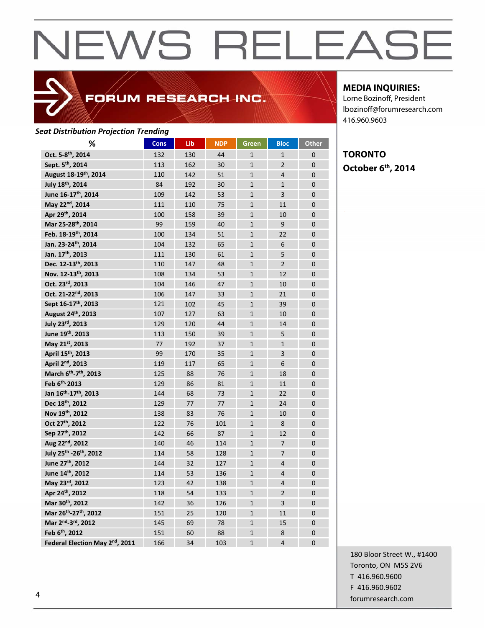### FORUM RESEARCH INC.

#### *Seat Distribution Projection Trending*

| %                                              | <b>Cons</b> | Lib | <b>NDP</b> | Green          | <b>Bloc</b>    | <b>Other</b>   |
|------------------------------------------------|-------------|-----|------------|----------------|----------------|----------------|
| Oct. 5-8 <sup>th</sup> , 2014                  | 132         | 130 | 44         | $\mathbf{1}$   | $\mathbf{1}$   | 0              |
| Sept. 5 <sup>th</sup> , 2014                   | 113         | 162 | 30         | $\overline{1}$ | $\overline{2}$ | $\overline{0}$ |
| August 18-19th, 2014                           | 110         | 142 | 51         | $\mathbf{1}$   | $\overline{4}$ | $\overline{0}$ |
| July 18th, 2014                                | 84          | 192 | 30         | $\mathbf{1}$   | $\mathbf{1}$   | $\overline{0}$ |
| June 16-17 <sup>th</sup> , 2014                | 109         | 142 | 53         | $\mathbf{1}$   | $\overline{3}$ | 0              |
| May 22nd, 2014                                 | 111         | 110 | 75         | $\mathbf{1}$   | 11             | $\overline{0}$ |
| Apr 29th, 2014                                 | 100         | 158 | 39         | $\mathbf{1}$   | 10             | $\overline{0}$ |
| Mar 25-28th, 2014                              | 99          | 159 | 40         | $\mathbf{1}$   | 9              | $\overline{0}$ |
| Feb. 18-19th, 2014                             | 100         | 134 | 51         | $\mathbf{1}$   | 22             | $\overline{0}$ |
| Jan. 23-24th, 2014                             | 104         | 132 | 65         | $\mathbf{1}$   | 6              | $\overline{0}$ |
| Jan. 17th, 2013                                | 111         | 130 | 61         | $\mathbf{1}$   | 5              | $\overline{0}$ |
| Dec. 12-13th, 2013                             | 110         | 147 | 48         | $\mathbf{1}$   | $\overline{2}$ | 0              |
| Nov. 12-13th, 2013                             | 108         | 134 | 53         | $\mathbf{1}$   | 12             | 0              |
| Oct. 23rd, 2013                                | 104         | 146 | 47         | $\overline{1}$ | 10             | $\overline{0}$ |
| Oct. 21-22 <sup>nd</sup> , 2013                | 106         | 147 | 33         | $\mathbf{1}$   | 21             | 0              |
| Sept 16-17 <sup>th</sup> , 2013                | 121         | 102 | 45         | $\mathbf{1}$   | 39             | $\overline{0}$ |
| August 24th, 2013                              | 107         | 127 | 63         | $\mathbf{1}$   | 10             | $\overline{0}$ |
| July 23rd, 2013                                | 129         | 120 | 44         | $\mathbf{1}$   | 14             | $\overline{0}$ |
| June 19th. 2013                                | 113         | 150 | 39         | $\mathbf{1}$   | 5              | $\mathbf 0$    |
| May 21st, 2013                                 | 77          | 192 | 37         | $\mathbf{1}$   | $\mathbf{1}$   | 0              |
| April 15 <sup>th</sup> , 2013                  | 99          | 170 | 35         | $\mathbf{1}$   | 3              | $\overline{0}$ |
| April 2 <sup>nd</sup> , 2013                   | 119         | 117 | 65         | $\mathbf{1}$   | 6              | $\overline{0}$ |
| March 6 <sup>th</sup> -7 <sup>th</sup> , 2013  | 125         | 88  | 76         | $\mathbf{1}$   | 18             | 0              |
| Feb 6th, 2013                                  | 129         | 86  | 81         | $\overline{1}$ | 11             | $\overline{0}$ |
| Jan 16 <sup>th</sup> -17 <sup>th</sup> , 2013  | 144         | 68  | 73         | $\mathbf{1}$   | 22             | $\overline{0}$ |
| Dec 18th, 2012                                 | 129         | 77  | 77         | $\mathbf{1}$   | 24             | $\overline{0}$ |
| Nov 19th, 2012                                 | 138         | 83  | 76         | $\mathbf{1}$   | 10             | 0              |
| Oct 27 <sup>th</sup> , 2012                    | 122         | 76  | 101        | $\mathbf{1}$   | 8              | 0              |
| Sep 27th, 2012                                 | 142         | 66  | 87         | $\mathbf{1}$   | 12             | $\overline{0}$ |
| Aug 22nd, 2012                                 | 140         | 46  | 114        | $\mathbf{1}$   | $\overline{7}$ | $\overline{0}$ |
| July 25 <sup>th</sup> -26 <sup>th</sup> , 2012 | 114         | 58  | 128        | $\mathbf{1}$   | $\overline{7}$ | $\Omega$       |
| June 27th, 2012                                | 144         | 32  | 127        | $\mathbf{1}$   | $\overline{4}$ | 0              |
| June 14th, 2012                                | 114         | 53  | 136        | $\mathbf{1}$   | $\overline{4}$ | $\overline{0}$ |
| May 23rd, 2012                                 | 123         | 42  | 138        | $\mathbf{1}$   | $\overline{4}$ | 0              |
| Apr 24th, 2012                                 | 118         | 54  | 133        | $\mathbf{1}$   | $\overline{2}$ | 0              |
| Mar 30th, 2012                                 | 142         | 36  | 126        | $\mathbf{1}$   | 3              | $\overline{0}$ |
| Mar 26th-27th, 2012                            | 151         | 25  | 120        | $\mathbf{1}$   | 11             | $\overline{0}$ |
| Mar 2 <sup>nd</sup> -3 <sup>rd</sup> , 2012    | 145         | 69  | 78         | $\mathbf{1}$   | 15             | $\overline{0}$ |
| Feb 6 <sup>th</sup> , 2012                     | 151         | 60  | 88         | $\mathbf{1}$   | 8              | 0              |
| Federal Election May 2 <sup>nd</sup> , 2011    | 166         | 34  | 103        | $\mathbf{1}$   | $\overline{4}$ | $\overline{0}$ |

#### **MEDIA INQUIRIES:**

Lorne Bozinoff, President lbozinoff@forumresearch.com 416.960.9603

**TORONTO October 6th, 2014** 

180 Bloor Street W., #1400 Toronto, ON M5S 2V6 T 416.960.9600 F 416.960.9602 example to the contract of the contract of the contract of the contract of the contract of the contract of the contract of the contract of the contract of the contract of the contract of the contract of the contract of the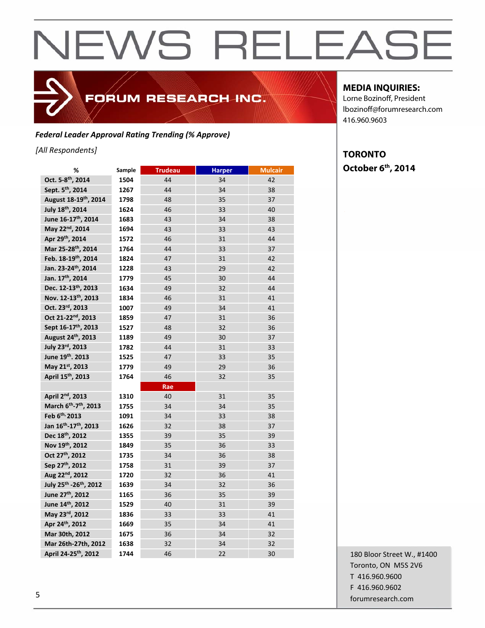### FORUM RESEARCH INC.

#### *Federal Leader Approval Rating Trending (% Approve)*

#### *[All Respondents]*

| %                                              | Sample | <b>Trudeau</b> | <b>Harper</b> | <b>Mulcair</b> |
|------------------------------------------------|--------|----------------|---------------|----------------|
| Oct. 5-8 <sup>th</sup> , 2014                  | 1504   | 44             | 34            | 42             |
| Sept. 5 <sup>th</sup> , 2014                   | 1267   | 44             | 34            | 38             |
| August 18-19th, 2014                           | 1798   | 48             | 35            | 37             |
| July 18th, 2014                                | 1624   | 46             | 33            | 40             |
| June 16-17 <sup>th</sup> , 2014                | 1683   | 43             | 34            | 38             |
| May 22 <sup>nd</sup> , 2014                    | 1694   | 43             | 33            | 43             |
| Apr 29th, 2014                                 | 1572   | 46             | 31            | 44             |
| Mar 25-28th, 2014                              | 1764   | 44             | 33            | 37             |
| Feb. 18-19th, 2014                             | 1824   | 47             | 31            | 42             |
| Jan. 23-24th, 2014                             | 1228   | 43             | 29            | 42             |
| Jan. 17th, 2014                                | 1779   | 45             | 30            | 44             |
| Dec. 12-13th, 2013                             | 1634   | 49             | 32            | 44             |
| Nov. 12-13th, 2013                             | 1834   | 46             | 31            | 41             |
| Oct. 23rd, 2013                                | 1007   | 49             | 34            | 41             |
| Oct 21-22 <sup>nd</sup> , 2013                 | 1859   | 47             | 31            | 36             |
| Sept 16-17 <sup>th</sup> , 2013                | 1527   | 48             | 32            | 36             |
| August 24th, 2013                              | 1189   | 49             | 30            | 37             |
| July 23rd, 2013                                | 1782   | 44             | 31            | 33             |
| June 19th. 2013                                | 1525   | 47             | 33            | 35             |
| May 21st, 2013                                 | 1779   | 49             | 29            | 36             |
| April 15 <sup>th</sup> , 2013                  | 1764   | 46             | 32            | 35             |
|                                                |        | Rae            |               |                |
| April 2 <sup>nd</sup> , 2013                   | 1310   | 40             | 31            | 35             |
| March 6 <sup>th</sup> -7 <sup>th</sup> , 2013  | 1755   | 34             | 34            | 35             |
| Feb 6th, 2013                                  | 1091   | 34             | 33            | 38             |
| Jan 16 <sup>th</sup> -17 <sup>th</sup> , 2013  | 1626   | 32             | 38            | 37             |
| Dec 18th, 2012                                 | 1355   | 39             | 35            | 39             |
| Nov 19th, 2012                                 | 1849   | 35             | 36            | 33             |
| Oct 27 <sup>th</sup> , 2012                    | 1735   | 34             | 36            | 38             |
| Sep 27th, 2012                                 | 1758   | 31             | 39            | 37             |
| Aug 22nd, 2012                                 | 1720   | 32             | 36            | 41             |
| July 25 <sup>th</sup> -26 <sup>th</sup> , 2012 | 1639   | 34             | 32            | 36             |
| June 27th, 2012                                | 1165   | 36             | 35            | 39             |
| June 14th, 2012                                | 1529   | 40             | 31            | 39             |
| May 23rd, 2012                                 | 1836   | 33             | 33            | 41             |
| Apr 24th, 2012                                 | 1669   | 35             | 34            | 41             |
| Mar 30th, 2012                                 | 1675   | 36             | 34            | 32             |
| Mar 26th-27th, 2012                            | 1638   | 32             | 34            | 32             |
| April 24-25 <sup>th</sup> , 2012               | 1744   | 46             | 22            | 30             |

#### **MEDIA INQUIRIES:**

Lorne Bozinoff, President lbozinoff@forumresearch.com 416.960.9603

### **TORONTO October 6th, 2014**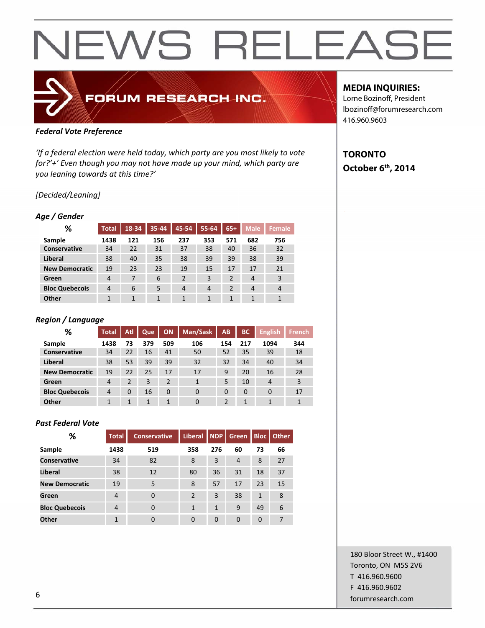### FORUM RESEARCH INC.

#### *Federal Vote Preference*

*'If a federal election were held today, which party are you most likely to vote for?'+' Even though you may not have made up your mind, which party are you leaning towards at this time?'*

#### *[Decided/Leaning]*

#### *Age / Gender*

| %                     | <b>Total</b> | $18 - 34$ | 35-44 | 45-54          | 55-64 | $65+$          | <b>Male</b> | Female         |
|-----------------------|--------------|-----------|-------|----------------|-------|----------------|-------------|----------------|
| Sample                | 1438         | 121       | 156   | 237            | 353   | 571            | 682         | 756            |
| <b>Conservative</b>   | 34           | 22        | 31    | 37             | 38    | 40             | 36          | 32             |
| Liberal               | 38           | 40        | 35    | 38             | 39    | 39             | 38          | 39             |
| <b>New Democratic</b> | 19           | 23        | 23    | 19             | 15    | 17             | 17          | 21             |
| Green                 | 4            | 7         | 6     | $\overline{2}$ | 3     | $\overline{2}$ | 4           | 3              |
| <b>Bloc Quebecois</b> | 4            | 6         | 5     | $\overline{4}$ | 4     | $\overline{2}$ | 4           | $\overline{4}$ |
| <b>Other</b>          | 1            | 1         | 1     | 1              | 1     | $\mathbf{1}$   | 1           | 1              |

#### *Region / Language*

| ℅                     | <b>Total</b> | Atl      | Que | <b>ON</b>      | Man/Sask | AB  | <b>BC</b> | <b>English</b> | <b>French</b> |
|-----------------------|--------------|----------|-----|----------------|----------|-----|-----------|----------------|---------------|
| Sample                | 1438         | 73       | 379 | 509            | 106      | 154 | 217       | 1094           | 344           |
| <b>Conservative</b>   | 34           | 22       | 16  | 41             | 50       | 52  | 35        | 39             | 18            |
| Liberal               | 38           | 53       | 39  | 39             | 32       | 32  | 34        | 40             | 34            |
| <b>New Democratic</b> | 19           | 22       | 25  | 17             | 17       | 9   | 20        | 16             | 28            |
| Green                 | 4            | 2        | 3   | $\overline{2}$ | 1        | 5   | 10        | 4              | 3             |
| <b>Bloc Quebecois</b> | 4            | $\Omega$ | 16  | 0              | $\Omega$ | 0   | 0         | 0              | 17            |
| Other                 |              |          | 1   | 1              | 0        | 2   | 1         |                |               |

#### *Past Federal Vote*

| %                     | <b>Total</b>   | <b>Conservative</b> | Liberal NDP   |          | <b>Green</b>   | <b>Bloc</b>  | <b>Other</b> |
|-----------------------|----------------|---------------------|---------------|----------|----------------|--------------|--------------|
| Sample                | 1438           | 519                 | 358           | 276      | 60             | 73           | 66           |
| <b>Conservative</b>   | 34             | 82                  | 8             | 3        | $\overline{4}$ | 8            | 27           |
| Liberal               | 38             | 12                  | 80            | 36       | 31             | 18           | 37           |
| <b>New Democratic</b> | 19             | 5                   | 8             | 57       | 17             | 23           | 15           |
| Green                 | 4              | $\Omega$            | $\mathcal{P}$ | 3        | 38             | $\mathbf{1}$ | 8            |
| <b>Bloc Quebecois</b> | $\overline{4}$ | $\Omega$            | 1             | 1        | 9              | 49           | 6            |
| Other                 | 1              | $\Omega$            | $\Omega$      | $\Omega$ | $\Omega$       | 0            | 7            |

#### **MEDIA INQUIRIES:**

Lorne Bozinoff, President lbozinoff@forumresearch.com 416.960.9603

#### **TORONTO October 6th, 2014**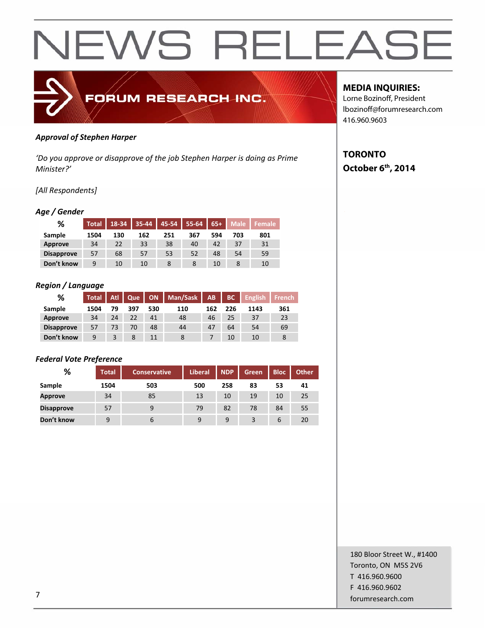

#### *Approval of Stephen Harper*

*'Do you approve or disapprove of the job Stephen Harper is doing as Prime Minister?'*

#### *[All Respondents]*

#### *Age / Gender*

| %                 | <b>Total</b> | 18-34 | 35-44 | 45-54 | 55-64 | $65+$ | Male | <b>Female</b> |
|-------------------|--------------|-------|-------|-------|-------|-------|------|---------------|
| Sample            | 1504         | 130   | 162   | 251   | 367   | 594   | 703  | 801           |
| Approve           | 34           | 22    | 33    | 38    | 40    | 42    | 37   | 31            |
| <b>Disapprove</b> | 57           | 68    | 57    | 53    | 52    | 48    | 54   | 59            |
| Don't know        | 9            | 10    | 10    | 8     | 8     | 10    |      | 10            |

#### *Region / Language*

| %                 | Total | Atl | Que | <b>ON</b> | Man/Sask | <b>AB</b> | BC  | <b>English</b> | <b>French</b> |
|-------------------|-------|-----|-----|-----------|----------|-----------|-----|----------------|---------------|
| Sample            | 1504  | 79  | 397 | 530       | 110      | 162       | 226 | 1143           | 361           |
| Approve           | 34    | 24  | 22  | 41        | 48       | 46        | 25  | 37             | 23            |
| <b>Disapprove</b> | 57    | 73  | 70  | 48        | 44       | 47        | 64  | 54             | 69            |
| Don't know        | 9     |     | 8   | 11        |          |           | 10  | 10             | 8             |

#### *Federal Vote Preference*

| %                 | <b>Total</b> | Conservative | <b>Liberal</b> | <b>NDP</b> | Green | <b>Bloc</b> | Other |
|-------------------|--------------|--------------|----------------|------------|-------|-------------|-------|
| Sample            | 1504         | 503          | 500            | 258        | 83    | 53          | 41    |
| <b>Approve</b>    | 34           | 85           | 13             | 10         | 19    | 10          | 25    |
| <b>Disapprove</b> | 57           | 9            | 79             | 82         | 78    | 84          | 55    |
| Don't know        | 9            | b            | 9              | 9          | 3     | 6           | 20    |

**MEDIA INQUIRIES:** 

Lorne Bozinoff, President lbozinoff@forumresearch.com 416.960.9603

#### **TORONTO October 6th, 2014**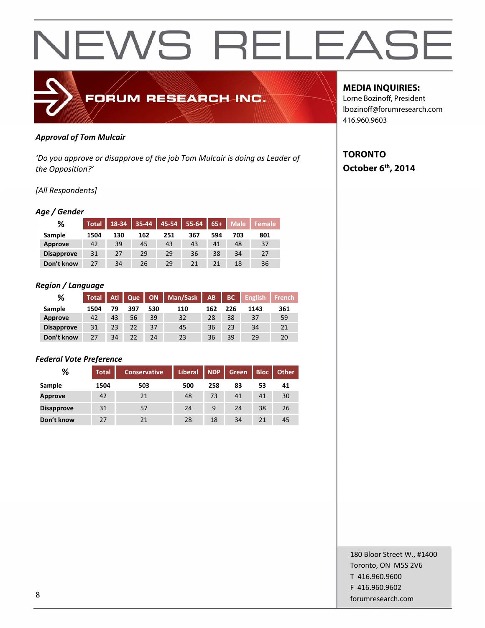

#### *Approval of Tom Mulcair*

*'Do you approve or disapprove of the job Tom Mulcair is doing as Leader of the Opposition?'*

#### *[All Respondents]*

#### *Age / Gender*

| %                 | <b>Total</b> | 18-34 | 35-44 | 45-54 | 55-64 | $65+$ | <b>Male</b> | Female |
|-------------------|--------------|-------|-------|-------|-------|-------|-------------|--------|
| Sample            | 1504         | 130   | 162   | 251   | 367   | 594   | 703         | 801    |
| <b>Approve</b>    | 42           | 39    | 45    | 43    | 43    | 41    | 48          | 37     |
| <b>Disapprove</b> | 31           | 27    | 29    | 29    | 36    | 38    | 34          | 27     |
| Don't know        | 27           | 34    | 26    | 29    | 21    | 21    | 18          | 36     |

#### *Region / Language*

| %                 | <b>Total</b> | Atl | Que |     | ON   Man/Sask | AB  | BC  | <b>English</b> | French |
|-------------------|--------------|-----|-----|-----|---------------|-----|-----|----------------|--------|
| Sample            | 1504         | 79  | 397 | 530 | 110           | 162 | 226 | 1143           | 361    |
| Approve           | 42           | 43  | 56  | 39  | 32            | 28  | 38  | 37             | 59     |
| <b>Disapprove</b> | 31           | 23  | 22  | 37  | 45            | 36  | 23  | 34             | 21     |
| Don't know        | 27           | 34  | 22  | 24  | 23            | 36  | 39  | 29             | 20     |

#### *Federal Vote Preference*

| %                 | <b>Total</b> | <b>Conservative</b> | <b>Liberal</b> | <b>NDP</b> | Green | <b>Bloc</b> | <b>Other</b> |
|-------------------|--------------|---------------------|----------------|------------|-------|-------------|--------------|
| Sample            | 1504         | 503                 | 500            | 258        | 83    | 53          | 41           |
| <b>Approve</b>    | 42           | 21                  | 48             | 73         | 41    | 41          | 30           |
| <b>Disapprove</b> | 31           | 57                  | 24             | 9          | 24    | 38          | 26           |
| Don't know        | 27           | 21                  | 28             | 18         | 34    | 21          | 45           |

#### **MEDIA INQUIRIES:**

Lorne Bozinoff, President lbozinoff@forumresearch.com 416.960.9603

#### **TORONTO October 6th, 2014**

180 Bloor Street W., #1400 Toronto, ON M5S 2V6 T 416.960.9600 F 416.960.9602 **forumresearch.com** and the set of the set of the set of the set of the set of the set of the set of the set of the set of the set of the set of the set of the set of the set of the set of the set of the set of the set of